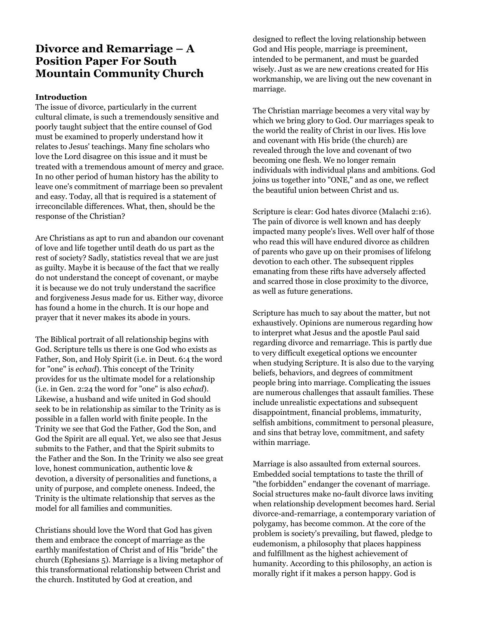# **Divorce and Remarriage – A Position Paper For South Mountain Community Church**

#### **Introduction**

The issue of divorce, particularly in the current cultural climate, is such a tremendously sensitive and poorly taught subject that the entire counsel of God must be examined to properly understand how it relates to Jesus' teachings. Many fine scholars who love the Lord disagree on this issue and it must be treated with a tremendous amount of mercy and grace. In no other period of human history has the ability to leave one's commitment of marriage been so prevalent and easy. Today, all that is required is a statement of irreconcilable differences. What, then, should be the response of the Christian?

Are Christians as apt to run and abandon our covenant of love and life together until death do us part as the rest of society? Sadly, statistics reveal that we are just as guilty. Maybe it is because of the fact that we really do not understand the concept of covenant, or maybe it is because we do not truly understand the sacrifice and forgiveness Jesus made for us. Either way, divorce has found a home in the church. It is our hope and prayer that it never makes its abode in yours.

The Biblical portrait of all relationship begins with God. Scripture tells us there is one God who exists as Father, Son, and Holy Spirit (i.e. in Deut. 6:4 the word for "one" is *echad*). This concept of the Trinity provides for us the ultimate model for a relationship (i.e. in Gen. 2:24 the word for "one" is also *echad*). Likewise, a husband and wife united in God should seek to be in relationship as similar to the Trinity as is possible in a fallen world with finite people. In the Trinity we see that God the Father, God the Son, and God the Spirit are all equal. Yet, we also see that Jesus submits to the Father, and that the Spirit submits to the Father and the Son. In the Trinity we also see great love, honest communication, authentic love & devotion, a diversity of personalities and functions, a unity of purpose, and complete oneness. Indeed, the Trinity is the ultimate relationship that serves as the model for all families and communities.

Christians should love the Word that God has given them and embrace the concept of marriage as the earthly manifestation of Christ and of His "bride" the church (Ephesians 5). Marriage is a living metaphor of this transformational relationship between Christ and the church. Instituted by God at creation, and

designed to reflect the loving relationship between God and His people, marriage is preeminent, intended to be permanent, and must be guarded wisely. Just as we are new creations created for His workmanship, we are living out the new covenant in marriage.

The Christian marriage becomes a very vital way by which we bring glory to God. Our marriages speak to the world the reality of Christ in our lives. His love and covenant with His bride (the church) are revealed through the love and covenant of two becoming one flesh. We no longer remain individuals with individual plans and ambitions. God joins us together into "ONE," and as one, we reflect the beautiful union between Christ and us.

Scripture is clear: God hates divorce (Malachi 2:16). The pain of divorce is well known and has deeply impacted many people's lives. Well over half of those who read this will have endured divorce as children of parents who gave up on their promises of lifelong devotion to each other. The subsequent ripples emanating from these rifts have adversely affected and scarred those in close proximity to the divorce, as well as future generations.

Scripture has much to say about the matter, but not exhaustively. Opinions are numerous regarding how to interpret what Jesus and the apostle Paul said regarding divorce and remarriage. This is partly due to very difficult exegetical options we encounter when studying Scripture. It is also due to the varying beliefs, behaviors, and degrees of commitment people bring into marriage. Complicating the issues are numerous challenges that assault families. These include unrealistic expectations and subsequent disappointment, financial problems, immaturity, selfish ambitions, commitment to personal pleasure, and sins that betray love, commitment, and safety within marriage.

Marriage is also assaulted from external sources. Embedded social temptations to taste the thrill of "the forbidden" endanger the covenant of marriage. Social structures make no-fault divorce laws inviting when relationship development becomes hard. Serial divorce-and-remarriage, a contemporary variation of polygamy, has become common. At the core of the problem is society's prevailing, but flawed, pledge to eudemonism, a philosophy that places happiness and fulfillment as the highest achievement of humanity. According to this philosophy, an action is morally right if it makes a person happy. God is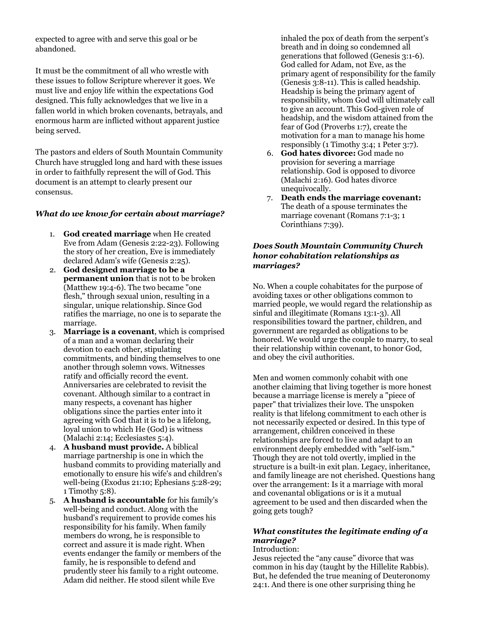expected to agree with and serve this goal or be abandoned.

It must be the commitment of all who wrestle with these issues to follow Scripture wherever it goes. We must live and enjoy life within the expectations God designed. This fully acknowledges that we live in a fallen world in which broken covenants, betrayals, and enormous harm are inflicted without apparent justice being served.

The pastors and elders of South Mountain Community Church have struggled long and hard with these issues in order to faithfully represent the will of God. This document is an attempt to clearly present our consensus.

#### *What do we know for certain about marriage?*

- 1. **God created marriage** when He created Eve from Adam (Genesis 2:22-23). Following the story of her creation, Eve is immediately declared Adam's wife (Genesis 2:25).
- 2. **God designed marriage to be a permanent union** that is not to be broken (Matthew 19:4-6). The two became "one flesh," through sexual union, resulting in a singular, unique relationship. Since God ratifies the marriage, no one is to separate the marriage.
- 3. **Marriage is a covenant**, which is comprised of a man and a woman declaring their devotion to each other, stipulating commitments, and binding themselves to one another through solemn vows. Witnesses ratify and officially record the event. Anniversaries are celebrated to revisit the covenant. Although similar to a contract in many respects, a covenant has higher obligations since the parties enter into it agreeing with God that it is to be a lifelong, loyal union to which He (God) is witness (Malachi 2:14; Ecclesiastes 5:4).
- 4. **A husband must provide.** A biblical marriage partnership is one in which the husband commits to providing materially and emotionally to ensure his wife's and children's well-being (Exodus 21:10; Ephesians 5:28-29; 1 Timothy 5:8).
- 5. **A husband is accountable** for his family's well-being and conduct. Along with the husband's requirement to provide comes his responsibility for his family. When family members do wrong, he is responsible to correct and assure it is made right. When events endanger the family or members of the family, he is responsible to defend and prudently steer his family to a right outcome. Adam did neither. He stood silent while Eve

inhaled the pox of death from the serpent's breath and in doing so condemned all generations that followed (Genesis 3:1-6). God called for Adam, not Eve, as the primary agent of responsibility for the family (Genesis 3:8-11). This is called headship. Headship is being the primary agent of responsibility, whom God will ultimately call to give an account. This God-given role of headship, and the wisdom attained from the fear of God (Proverbs 1:7), create the motivation for a man to manage his home responsibly (1 Timothy 3:4; 1 Peter 3:7).

- 6. **God hates divorce:** God made no provision for severing a marriage relationship. God is opposed to divorce (Malachi 2:16). God hates divorce unequivocally.
- 7. **Death ends the marriage covenant:** The death of a spouse terminates the marriage covenant (Romans 7:1-3; 1 Corinthians 7:39).

#### *Does South Mountain Community Church honor cohabitation relationships as marriages?*

No. When a couple cohabitates for the purpose of avoiding taxes or other obligations common to married people, we would regard the relationship as sinful and illegitimate (Romans 13:1-3). All responsibilities toward the partner, children, and government are regarded as obligations to be honored. We would urge the couple to marry, to seal their relationship within covenant, to honor God, and obey the civil authorities.

Men and women commonly cohabit with one another claiming that living together is more honest because a marriage license is merely a "piece of paper" that trivializes their love. The unspoken reality is that lifelong commitment to each other is not necessarily expected or desired. In this type of arrangement, children conceived in these relationships are forced to live and adapt to an environment deeply embedded with "self-ism." Though they are not told overtly, implied in the structure is a built-in exit plan. Legacy, inheritance, and family lineage are not cherished. Questions hang over the arrangement: Is it a marriage with moral and covenantal obligations or is it a mutual agreement to be used and then discarded when the going gets tough?

#### *What constitutes the legitimate ending of a marriage?* Introduction:

Jesus rejected the "any cause" divorce that was common in his day (taught by the Hillelite Rabbis). But, he defended the true meaning of Deuteronomy 24:1. And there is one other surprising thing he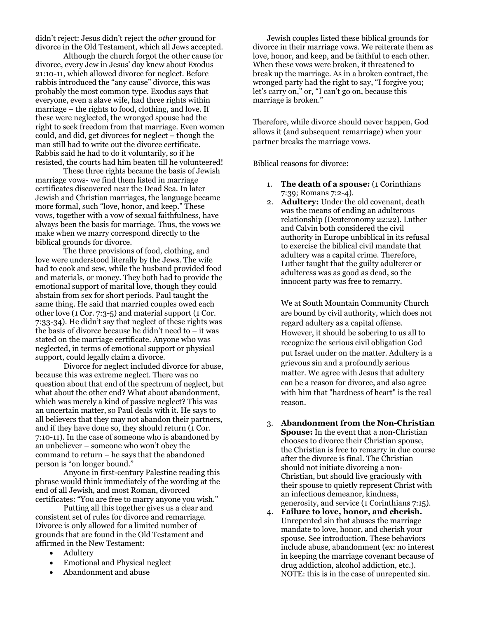didn't reject: Jesus didn't reject the *other* ground for divorce in the Old Testament, which all Jews accepted.

 Although the church forgot the other cause for divorce, every Jew in Jesus' day knew about Exodus 21:10-11, which allowed divorce for neglect. Before rabbis introduced the "any cause" divorce, this was probably the most common type. Exodus says that everyone, even a slave wife, had three rights within marriage – the rights to food, clothing, and love. If these were neglected, the wronged spouse had the right to seek freedom from that marriage. Even women could, and did, get divorces for neglect – though the man still had to write out the divorce certificate. Rabbis said he had to do it voluntarily, so if he resisted, the courts had him beaten till he volunteered!

 These three rights became the basis of Jewish marriage vows- we find them listed in marriage certificates discovered near the Dead Sea. In later Jewish and Christian marriages, the language became more formal, such "love, honor, and keep." These vows, together with a vow of sexual faithfulness, have always been the basis for marriage. Thus, the vows we make when we marry correspond directly to the biblical grounds for divorce.

 The three provisions of food, clothing, and love were understood literally by the Jews. The wife had to cook and sew, while the husband provided food and materials, or money. They both had to provide the emotional support of marital love, though they could abstain from sex for short periods. Paul taught the same thing. He said that married couples owed each other love (1 Cor. 7:3-5) and material support (1 Cor. 7:33-34). He didn't say that neglect of these rights was the basis of divorce because he didn't need to – it was stated on the marriage certificate. Anyone who was neglected, in terms of emotional support or physical support, could legally claim a divorce.

 Divorce for neglect included divorce for abuse, because this was extreme neglect. There was no question about that end of the spectrum of neglect, but what about the other end? What about abandonment, which was merely a kind of passive neglect? This was an uncertain matter, so Paul deals with it. He says to all believers that they may not abandon their partners, and if they have done so, they should return (1 Cor. 7:10-11). In the case of someone who is abandoned by an unbeliever – someone who won't obey the command to return – he says that the abandoned person is "on longer bound."

 Anyone in first-century Palestine reading this phrase would think immediately of the wording at the end of all Jewish, and most Roman, divorced certificates: "You are free to marry anyone you wish."

 Putting all this together gives us a clear and consistent set of rules for divorce and remarriage. Divorce is only allowed for a limited number of grounds that are found in the Old Testament and affirmed in the New Testament:

- Adultery
- Emotional and Physical neglect
- Abandonment and abuse

Jewish couples listed these biblical grounds for divorce in their marriage vows. We reiterate them as love, honor, and keep, and be faithful to each other. When these vows were broken, it threatened to break up the marriage. As in a broken contract, the wronged party had the right to say, "I forgive you; let's carry on," or, "I can't go on, because this marriage is broken."

Therefore, while divorce should never happen, God allows it (and subsequent remarriage) when your partner breaks the marriage vows.

Biblical reasons for divorce:

- 1. **The death of a spouse:** (1 Corinthians 7:39; Romans 7:2-4).
- 2. **Adultery:** Under the old covenant, death was the means of ending an adulterous relationship (Deuteronomy 22:22). Luther and Calvin both considered the civil authority in Europe unbiblical in its refusal to exercise the biblical civil mandate that adultery was a capital crime. Therefore, Luther taught that the guilty adulterer or adulteress was as good as dead, so the innocent party was free to remarry.

We at South Mountain Community Church are bound by civil authority, which does not regard adultery as a capital offense. However, it should be sobering to us all to recognize the serious civil obligation God put Israel under on the matter. Adultery is a grievous sin and a profoundly serious matter. We agree with Jesus that adultery can be a reason for divorce, and also agree with him that "hardness of heart" is the real reason.

- 3. **Abandonment from the Non-Christian Spouse:** In the event that a non-Christian chooses to divorce their Christian spouse, the Christian is free to remarry in due course after the divorce is final. The Christian should not initiate divorcing a non-Christian, but should live graciously with their spouse to quietly represent Christ with an infectious demeanor, kindness, generosity, and service (1 Corinthians 7:15).
- 4. **Failure to love, honor, and cherish.** Unrepented sin that abuses the marriage mandate to love, honor, and cherish your spouse. See introduction. These behaviors include abuse, abandonment (ex: no interest in keeping the marriage covenant because of drug addiction, alcohol addiction, etc.). NOTE: this is in the case of unrepented sin.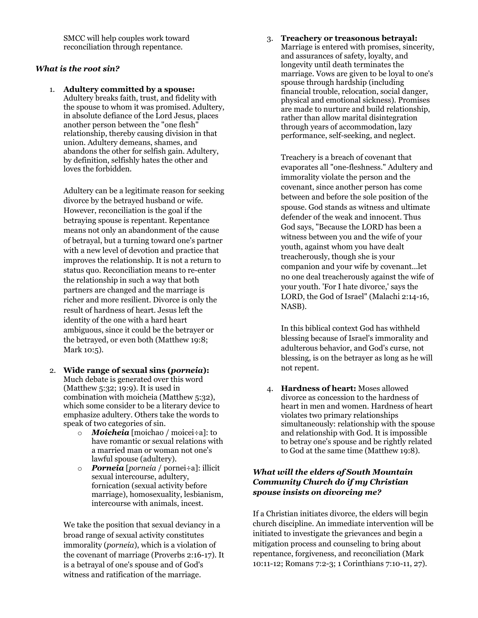SMCC will help couples work toward reconciliation through repentance.

#### *What is the root sin?*

1. **Adultery committed by a spouse:** Adultery breaks faith, trust, and fidelity with the spouse to whom it was promised. Adultery, in absolute defiance of the Lord Jesus, places another person between the "one flesh" relationship, thereby causing division in that union. Adultery demeans, shames, and abandons the other for selfish gain. Adultery, by definition, selfishly hates the other and loves the forbidden.

Adultery can be a legitimate reason for seeking divorce by the betrayed husband or wife. However, reconciliation is the goal if the betraying spouse is repentant. Repentance means not only an abandonment of the cause of betrayal, but a turning toward one's partner with a new level of devotion and practice that improves the relationship. It is not a return to status quo. Reconciliation means to re-enter the relationship in such a way that both partners are changed and the marriage is richer and more resilient. Divorce is only the result of hardness of heart. Jesus left the identity of the one with a hard heart ambiguous, since it could be the betrayer or the betrayed, or even both (Matthew 19:8; Mark 10:5).

- 2. **Wide range of sexual sins (***porneia***):** Much debate is generated over this word (Matthew 5:32; 19:9). It is used in combination with moicheia (Matthew 5:32), which some consider to be a literary device to emphasize adultery. Others take the words to speak of two categories of sin.
	- o *Moicheia* [moichao / moicei÷a]: to have romantic or sexual relations with a married man or woman not one's lawful spouse (adultery).
	- o *Porneia* [*porneia* / pornei÷a]: illicit sexual intercourse, adultery, fornication (sexual activity before marriage), homosexuality, lesbianism, intercourse with animals, incest.

We take the position that sexual deviancy in a broad range of sexual activity constitutes immorality (*porneia*), which is a violation of the covenant of marriage (Proverbs 2:16-17). It is a betrayal of one's spouse and of God's witness and ratification of the marriage.

3. **Treachery or treasonous betrayal:** Marriage is entered with promises, sincerity, and assurances of safety, loyalty, and longevity until death terminates the marriage. Vows are given to be loyal to one's spouse through hardship (including financial trouble, relocation, social danger, physical and emotional sickness). Promises are made to nurture and build relationship, rather than allow marital disintegration through years of accommodation, lazy performance, self-seeking, and neglect.

Treachery is a breach of covenant that evaporates all "one-fleshness." Adultery and immorality violate the person and the covenant, since another person has come between and before the sole position of the spouse. God stands as witness and ultimate defender of the weak and innocent. Thus God says, "Because the LORD has been a witness between you and the wife of your youth, against whom you have dealt treacherously, though she is your companion and your wife by covenant...let no one deal treacherously against the wife of your youth. 'For I hate divorce,' says the LORD, the God of Israel" (Malachi 2:14-16, NASB).

In this biblical context God has withheld blessing because of Israel's immorality and adulterous behavior, and God's curse, not blessing, is on the betrayer as long as he will not repent.

4. **Hardness of heart:** Moses allowed divorce as concession to the hardness of heart in men and women. Hardness of heart violates two primary relationships simultaneously: relationship with the spouse and relationship with God. It is impossible to betray one's spouse and be rightly related to God at the same time (Matthew 19:8).

#### *What will the elders of South Mountain Community Church do if my Christian spouse insists on divorcing me?*

If a Christian initiates divorce, the elders will begin church discipline. An immediate intervention will be initiated to investigate the grievances and begin a mitigation process and counseling to bring about repentance, forgiveness, and reconciliation (Mark 10:11-12; Romans 7:2-3; 1 Corinthians 7:10-11, 27).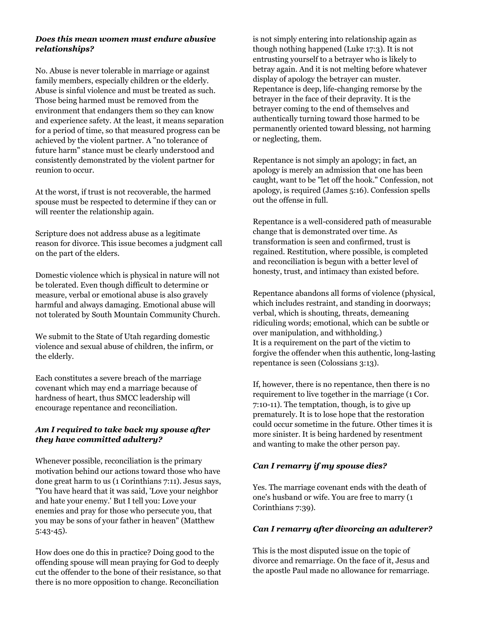#### *Does this mean women must endure abusive relationships?*

No. Abuse is never tolerable in marriage or against family members, especially children or the elderly. Abuse is sinful violence and must be treated as such. Those being harmed must be removed from the environment that endangers them so they can know and experience safety. At the least, it means separation for a period of time, so that measured progress can be achieved by the violent partner. A "no tolerance of future harm" stance must be clearly understood and consistently demonstrated by the violent partner for reunion to occur.

At the worst, if trust is not recoverable, the harmed spouse must be respected to determine if they can or will reenter the relationship again.

Scripture does not address abuse as a legitimate reason for divorce. This issue becomes a judgment call on the part of the elders.

Domestic violence which is physical in nature will not be tolerated. Even though difficult to determine or measure, verbal or emotional abuse is also gravely harmful and always damaging. Emotional abuse will not tolerated by South Mountain Community Church.

We submit to the State of Utah regarding domestic violence and sexual abuse of children, the infirm, or the elderly.

Each constitutes a severe breach of the marriage covenant which may end a marriage because of hardness of heart, thus SMCC leadership will encourage repentance and reconciliation.

## *Am I required to take back my spouse after they have committed adultery?*

Whenever possible, reconciliation is the primary motivation behind our actions toward those who have done great harm to us (1 Corinthians 7:11). Jesus says, "You have heard that it was said, 'Love your neighbor and hate your enemy.' But I tell you: Love your enemies and pray for those who persecute you, that you may be sons of your father in heaven" (Matthew 5:43-45).

How does one do this in practice? Doing good to the offending spouse will mean praying for God to deeply cut the offender to the bone of their resistance, so that there is no more opposition to change. Reconciliation

is not simply entering into relationship again as though nothing happened (Luke 17:3). It is not entrusting yourself to a betrayer who is likely to betray again. And it is not melting before whatever display of apology the betrayer can muster. Repentance is deep, life-changing remorse by the betrayer in the face of their depravity. It is the betrayer coming to the end of themselves and authentically turning toward those harmed to be permanently oriented toward blessing, not harming or neglecting, them.

Repentance is not simply an apology; in fact, an apology is merely an admission that one has been caught, want to be "let off the hook." Confession, not apology, is required (James 5:16). Confession spells out the offense in full.

Repentance is a well-considered path of measurable change that is demonstrated over time. As transformation is seen and confirmed, trust is regained. Restitution, where possible, is completed and reconciliation is begun with a better level of honesty, trust, and intimacy than existed before.

Repentance abandons all forms of violence (physical, which includes restraint, and standing in doorways; verbal, which is shouting, threats, demeaning ridiculing words; emotional, which can be subtle or over manipulation, and withholding.) It is a requirement on the part of the victim to forgive the offender when this authentic, long-lasting repentance is seen (Colossians 3:13).

If, however, there is no repentance, then there is no requirement to live together in the marriage (1 Cor. 7:10-11). The temptation, though, is to give up prematurely. It is to lose hope that the restoration could occur sometime in the future. Other times it is more sinister. It is being hardened by resentment and wanting to make the other person pay.

# *Can I remarry if my spouse dies?*

Yes. The marriage covenant ends with the death of one's husband or wife. You are free to marry (1 Corinthians 7:39).

#### *Can I remarry after divorcing an adulterer?*

This is the most disputed issue on the topic of divorce and remarriage. On the face of it, Jesus and the apostle Paul made no allowance for remarriage.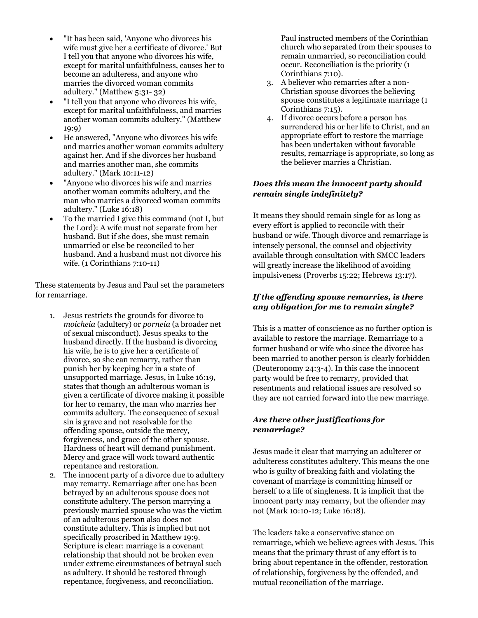- "It has been said, 'Anyone who divorces his wife must give her a certificate of divorce.' But I tell you that anyone who divorces his wife, except for marital unfaithfulness, causes her to become an adulteress, and anyone who marries the divorced woman commits adultery." (Matthew 5:31- 32)
- "I tell you that anyone who divorces his wife, except for marital unfaithfulness, and marries another woman commits adultery." (Matthew 19:9)
- He answered, "Anyone who divorces his wife and marries another woman commits adultery against her. And if she divorces her husband and marries another man, she commits adultery." (Mark 10:11-12)
- "Anyone who divorces his wife and marries another woman commits adultery, and the man who marries a divorced woman commits adultery." (Luke 16:18)
- To the married I give this command (not I, but the Lord): A wife must not separate from her husband. But if she does, she must remain unmarried or else be reconciled to her husband. And a husband must not divorce his wife. (1 Corinthians 7:10-11)

These statements by Jesus and Paul set the parameters for remarriage.

- 1. Jesus restricts the grounds for divorce to *moicheia* (adultery) or *porneia* (a broader net of sexual misconduct). Jesus speaks to the husband directly. If the husband is divorcing his wife, he is to give her a certificate of divorce, so she can remarry, rather than punish her by keeping her in a state of unsupported marriage. Jesus, in Luke 16:19, states that though an adulterous woman is given a certificate of divorce making it possible for her to remarry, the man who marries her commits adultery. The consequence of sexual sin is grave and not resolvable for the offending spouse, outside the mercy, forgiveness, and grace of the other spouse. Hardness of heart will demand punishment. Mercy and grace will work toward authentic repentance and restoration.
- 2. The innocent party of a divorce due to adultery may remarry. Remarriage after one has been betrayed by an adulterous spouse does not constitute adultery. The person marrying a previously married spouse who was the victim of an adulterous person also does not constitute adultery. This is implied but not specifically proscribed in Matthew 19:9. Scripture is clear: marriage is a covenant relationship that should not be broken even under extreme circumstances of betrayal such as adultery. It should be restored through repentance, forgiveness, and reconciliation.

Paul instructed members of the Corinthian church who separated from their spouses to remain unmarried, so reconciliation could occur. Reconciliation is the priority (1 Corinthians 7:10).

- 3. A believer who remarries after a non-Christian spouse divorces the believing spouse constitutes a legitimate marriage (1 Corinthians 7:15).
- 4. If divorce occurs before a person has surrendered his or her life to Christ, and an appropriate effort to restore the marriage has been undertaken without favorable results, remarriage is appropriate, so long as the believer marries a Christian.

## *Does this mean the innocent party should remain single indefinitely?*

It means they should remain single for as long as every effort is applied to reconcile with their husband or wife. Though divorce and remarriage is intensely personal, the counsel and objectivity available through consultation with SMCC leaders will greatly increase the likelihood of avoiding impulsiveness (Proverbs 15:22; Hebrews 13:17).

# *If the offending spouse remarries, is there any obligation for me to remain single?*

This is a matter of conscience as no further option is available to restore the marriage. Remarriage to a former husband or wife who since the divorce has been married to another person is clearly forbidden (Deuteronomy 24:3-4). In this case the innocent party would be free to remarry, provided that resentments and relational issues are resolved so they are not carried forward into the new marriage.

## *Are there other justifications for remarriage?*

Jesus made it clear that marrying an adulterer or adulteress constitutes adultery. This means the one who is guilty of breaking faith and violating the covenant of marriage is committing himself or herself to a life of singleness. It is implicit that the innocent party may remarry, but the offender may not (Mark 10:10-12; Luke 16:18).

The leaders take a conservative stance on remarriage, which we believe agrees with Jesus. This means that the primary thrust of any effort is to bring about repentance in the offender, restoration of relationship, forgiveness by the offended, and mutual reconciliation of the marriage.